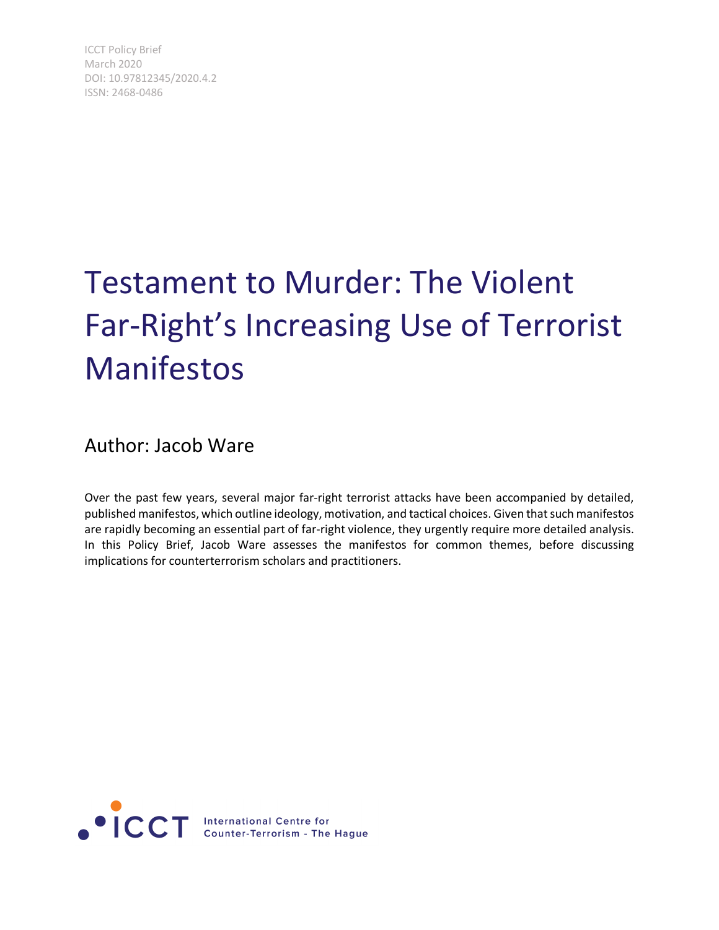ICCT Policy Brief March 2020 DOI: 10.97812345/2020.4.2 ISSN: 2468-0486

# Testament to Murder: The Violent Far-Right's Increasing Use of Terrorist Manifestos

### Author: Jacob Ware

Over the past few years, several major far-right terrorist attacks have been accompanied by detailed, published manifestos, which outline ideology, motivation, and tactical choices. Given that such manifestos are rapidly becoming an essential part of far-right violence, they urgently require more detailed analysis. In this Policy Brief, Jacob Ware assesses the manifestos for common themes, before discussing implications for counterterrorism scholars and practitioners.

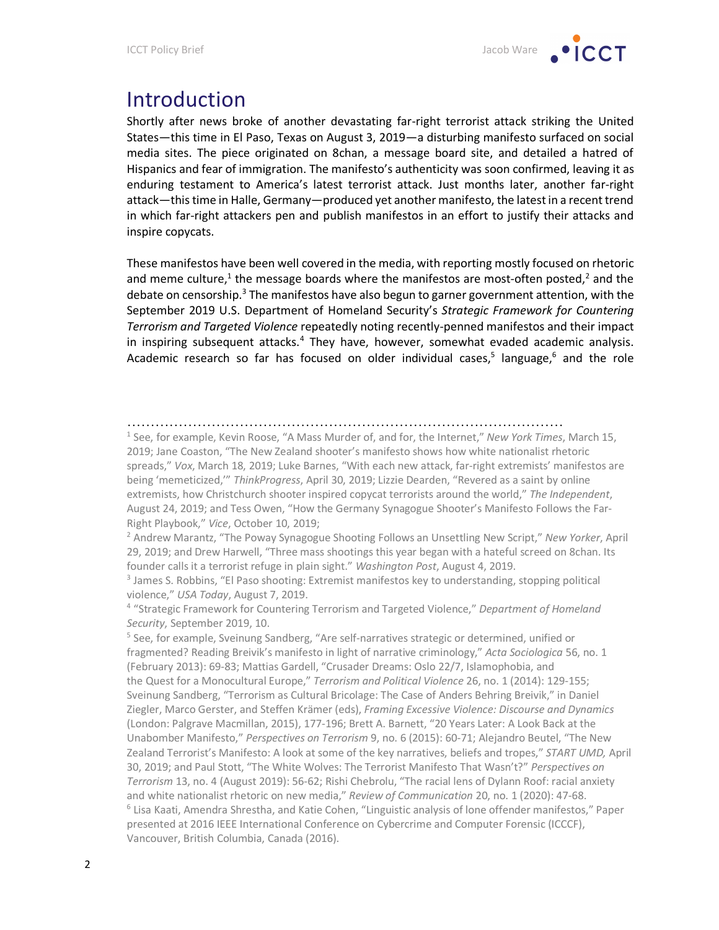### Introduction

Shortly after news broke of another devastating far-right terrorist attack striking the United States—this time in El Paso, Texas on August 3, 2019—a disturbing manifesto surfaced on social media sites. The piece originated on 8chan, a message board site, and detailed a hatred of Hispanics and fear of immigration. The manifesto's authenticity was soon confirmed, leaving it as enduring testament to America's latest terrorist attack. Just months later, another far-right attack—this time in Halle, Germany—produced yet another manifesto, the latest in a recent trend in which far-right attackers pen and publish manifestos in an effort to justify their attacks and inspire copycats.

These manifestos have been well covered in the media, with reporting mostly focused on rhetoric and meme culture,<sup>1</sup> the message boards where the manifestos are most-often posted,<sup>2</sup> and the debate on censorship.<sup>3</sup> The manifestos have also begun to garner government attention, with the September 2019 U.S. Department of Homeland Security's *Strategic Framework for Countering Terrorism and Targeted Violence* repeatedly noting recently-penned manifestos and their impact in inspiring subsequent attacks. $4$  They have, however, somewhat evaded academic analysis. Academic research so far has focused on older individual cases,<sup>5</sup> language,<sup>6</sup> and the role

…………………………………………………………………………………

<sup>1</sup> See, for example, Kevin Roose, "A Mass Murder of, and for, the Internet," *New York Times*, March 15, 2019; Jane Coaston, "The New Zealand shooter's manifesto shows how white nationalist rhetoric spreads," *Vox*, March 18, 2019; Luke Barnes, "With each new attack, far-right extremists' manifestos are being 'memeticized,'" *ThinkProgress*, April 30, 2019; Lizzie Dearden, "Revered as a saint by online extremists, how Christchurch shooter inspired copycat terrorists around the world," *The Independent*, August 24, 2019; and Tess Owen, "How the Germany Synagogue Shooter's Manifesto Follows the Far-Right Playbook," *Vice*, October 10, 2019;<br><sup>2</sup> Andrew Marantz, "The Poway Synagogue Shooting Follows an Unsettling New Script," *New Yorker*, April

29, 2019; and Drew Harwell, "Three mass shootings this year began with a hateful screed on 8chan. Its founder calls it a terrorist refuge in plain sight." *Washington Post*, August 4, 2019.

<sup>4</sup> "Strategic Framework for Countering Terrorism and Targeted Violence," *Department of Homeland Security*, September 2019, 10.

<sup>5</sup> See, for example, Sveinung Sandberg, "Are self-narratives strategic or determined, unified or fragmented? Reading Breivik's manifesto in light of narrative criminology," *Acta Sociologica* 56, no. 1 (February 2013): 69-83; Mattias Gardell, "Crusader Dreams: Oslo 22/7, Islamophobia, and the Quest for a Monocultural Europe," *Terrorism and Political Violence* 26, no. 1 (2014): 129-155; Sveinung Sandberg, "Terrorism as Cultural Bricolage: The Case of Anders Behring Breivik," in Daniel Ziegler, Marco Gerster, and Steffen Krämer (eds), *Framing Excessive Violence: Discourse and Dynamics* (London: Palgrave Macmillan, 2015), 177-196; Brett A. Barnett, "20 Years Later: A Look Back at the Unabomber Manifesto," *Perspectives on Terrorism* 9, no. 6 (2015): 60-71; Alejandro Beutel, "The New Zealand Terrorist's Manifesto: A look at some of the key narratives, beliefs and tropes," *START UMD,* April 30, 2019; and Paul Stott, "The White Wolves: The Terrorist Manifesto That Wasn't?" *Perspectives on Terrorism* 13, no. 4 (August 2019): 56-62; Rishi Chebrolu, "The racial lens of Dylann Roof: racial anxiety and white nationalist rhetoric on new media," *Review of Communication* 20, no. 1 (2020): 47-68.  $6$  Lisa Kaati, Amendra Shrestha, and Katie Cohen, "Linguistic analysis of lone offender manifestos," Paper presented at 2016 IEEE International Conference on Cybercrime and Computer Forensic (ICCCF), Vancouver, British Columbia, Canada (2016).

<sup>&</sup>lt;sup>3</sup> James S. Robbins, "El Paso shooting: Extremist manifestos key to understanding, stopping political violence," *USA Today*, August 7, 2019.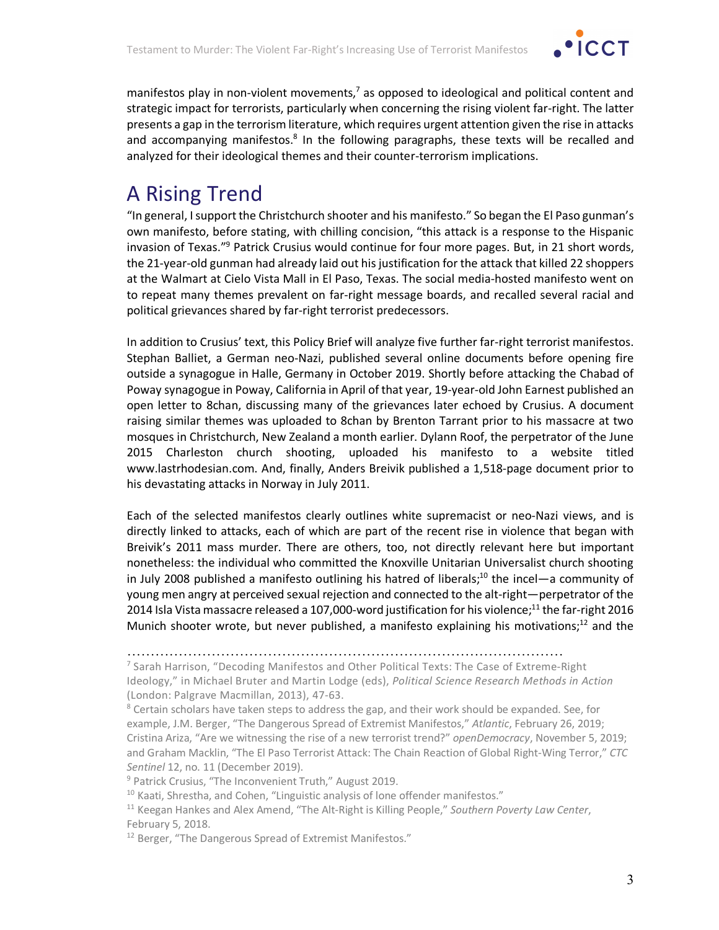

manifestos play in non-violent movements, $<sup>7</sup>$  as opposed to ideological and political content and</sup> strategic impact for terrorists, particularly when concerning the rising violent far-right. The latter presents a gap in the terrorism literature, which requires urgent attention given the rise in attacks and accompanying manifestos.<sup>8</sup> In the following paragraphs, these texts will be recalled and analyzed for their ideological themes and their counter-terrorism implications.

# A Rising Trend

"In general, I support the Christchurch shooter and his manifesto." So began the El Paso gunman's own manifesto, before stating, with chilling concision, "this attack is a response to the Hispanic invasion of Texas."9 Patrick Crusius would continue for four more pages. But, in 21 short words, the 21-year-old gunman had already laid out his justification for the attack that killed 22 shoppers at the Walmart at Cielo Vista Mall in El Paso, Texas. The social media-hosted manifesto went on to repeat many themes prevalent on far-right message boards, and recalled several racial and political grievances shared by far-right terrorist predecessors.

In addition to Crusius' text, this Policy Brief will analyze five further far-right terrorist manifestos. Stephan Balliet, a German neo-Nazi, published several online documents before opening fire outside a synagogue in Halle, Germany in October 2019. Shortly before attacking the Chabad of Poway synagogue in Poway, California in April of that year, 19-year-old John Earnest published an open letter to 8chan, discussing many of the grievances later echoed by Crusius. A document raising similar themes was uploaded to 8chan by Brenton Tarrant prior to his massacre at two mosques in Christchurch, New Zealand a month earlier. Dylann Roof, the perpetrator of the June 2015 Charleston church shooting, uploaded his manifesto to a website titled www.lastrhodesian.com. And, finally, Anders Breivik published a 1,518-page document prior to his devastating attacks in Norway in July 2011.

Each of the selected manifestos clearly outlines white supremacist or neo-Nazi views, and is directly linked to attacks, each of which are part of the recent rise in violence that began with Breivik's 2011 mass murder. There are others, too, not directly relevant here but important nonetheless: the individual who committed the Knoxville Unitarian Universalist church shooting in July 2008 published a manifesto outlining his hatred of liberals;<sup>10</sup> the incel—a community of young men angry at perceived sexual rejection and connected to the alt-right—perpetrator of the 2014 Isla Vista massacre released a 107,000-word justification for his violence;<sup>11</sup> the far-right 2016 Munich shooter wrote, but never published, a manifesto explaining his motivations; $^{12}$  and the

<sup>…………………………………………………………………………………</sup>

<sup>&</sup>lt;sup>7</sup> Sarah Harrison, "Decoding Manifestos and Other Political Texts: The Case of Extreme-Right Ideology," in Michael Bruter and Martin Lodge (eds), *Political Science Research Methods in Action* (London: Palgrave Macmillan, 2013), 47-63.

 $8$  Certain scholars have taken steps to address the gap, and their work should be expanded. See, for example, J.M. Berger, "The Dangerous Spread of Extremist Manifestos," *Atlantic*, February 26, 2019; Cristina Ariza, "Are we witnessing the rise of a new terrorist trend?" *openDemocracy*, November 5, 2019; and Graham Macklin, "The El Paso Terrorist Attack: The Chain Reaction of Global Right-Wing Terror," *CTC Sentinel* 12, no. 11 (December 2019).

<sup>9</sup> Patrick Crusius, "The Inconvenient Truth," August 2019.

 $10$  Kaati, Shrestha, and Cohen, "Linguistic analysis of lone offender manifestos."

<sup>11</sup> Keegan Hankes and Alex Amend, "The Alt-Right is Killing People," *Southern Poverty Law Center*, February 5, 2018.

<sup>&</sup>lt;sup>12</sup> Berger, "The Dangerous Spread of Extremist Manifestos."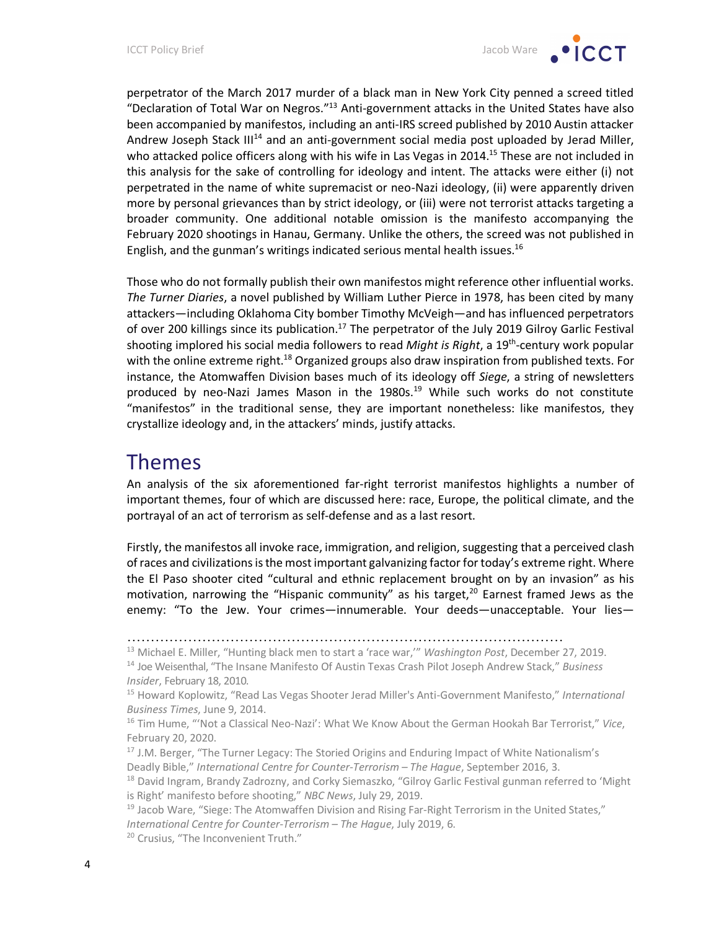

perpetrator of the March 2017 murder of a black man in New York City penned a screed titled "Declaration of Total War on Negros."13 Anti-government attacks in the United States have also been accompanied by manifestos, including an anti-IRS screed published by 2010 Austin attacker Andrew Joseph Stack  $III<sup>14</sup>$  and an anti-government social media post uploaded by Jerad Miller, who attacked police officers along with his wife in Las Vegas in 2014.<sup>15</sup> These are not included in this analysis for the sake of controlling for ideology and intent. The attacks were either (i) not perpetrated in the name of white supremacist or neo-Nazi ideology, (ii) were apparently driven more by personal grievances than by strict ideology, or (iii) were not terrorist attacks targeting a broader community. One additional notable omission is the manifesto accompanying the February 2020 shootings in Hanau, Germany. Unlike the others, the screed was not published in English, and the gunman's writings indicated serious mental health issues.<sup>16</sup>

Those who do not formally publish their own manifestos might reference other influential works. *The Turner Diaries*, a novel published by William Luther Pierce in 1978, has been cited by many attackers—including Oklahoma City bomber Timothy McVeigh—and has influenced perpetrators of over 200 killings since its publication.<sup>17</sup> The perpetrator of the July 2019 Gilroy Garlic Festival shooting implored his social media followers to read *Might is Right*, a 19th-century work popular with the online extreme right.<sup>18</sup> Organized groups also draw inspiration from published texts. For instance, the Atomwaffen Division bases much of its ideology off *Siege*, a string of newsletters produced by neo-Nazi James Mason in the  $1980s<sup>19</sup>$  While such works do not constitute "manifestos" in the traditional sense, they are important nonetheless: like manifestos, they crystallize ideology and, in the attackers' minds, justify attacks.

### Themes

An analysis of the six aforementioned far-right terrorist manifestos highlights a number of important themes, four of which are discussed here: race, Europe, the political climate, and the portrayal of an act of terrorism as self-defense and as a last resort.

Firstly, the manifestos all invoke race, immigration, and religion, suggesting that a perceived clash of races and civilizations is the most important galvanizing factor for today's extreme right. Where the El Paso shooter cited "cultural and ethnic replacement brought on by an invasion" as his motivation, narrowing the "Hispanic community" as his target, $20$  Earnest framed Jews as the enemy: "To the Jew. Your crimes—innumerable. Your deeds—unacceptable. Your lies—

<sup>…………………………………………………………………………………</sup>

<sup>13</sup> Michael E. Miller, "Hunting black men to start a 'race war,'" *Washington Post*, December 27, 2019. <sup>14</sup> Joe Weisenthal, "The Insane Manifesto Of Austin Texas Crash Pilot Joseph Andrew Stack," *Business Insider*, February 18, 2010.

<sup>15</sup> Howard Koplowitz, "Read Las Vegas Shooter Jerad Miller's Anti-Government Manifesto," *International Business Times*, June 9, 2014.

<sup>16</sup> Tim Hume, "'Not a Classical Neo-Nazi': What We Know About the German Hookah Bar Terrorist," *Vice*, February 20, 2020.

<sup>&</sup>lt;sup>17</sup> J.M. Berger, "The Turner Legacy: The Storied Origins and Enduring Impact of White Nationalism's Deadly Bible," *International Centre for Counter-Terrorism – The Hague*, September 2016, 3.

<sup>&</sup>lt;sup>18</sup> David Ingram, Brandy Zadrozny, and Corky Siemaszko, "Gilroy Garlic Festival gunman referred to 'Might is Right' manifesto before shooting," *NBC News*, July 29, 2019.

 $19$  Jacob Ware, "Siege: The Atomwaffen Division and Rising Far-Right Terrorism in the United States," *International Centre for Counter-Terrorism – The Hague*, July 2019, 6.

<sup>&</sup>lt;sup>20</sup> Crusius, "The Inconvenient Truth."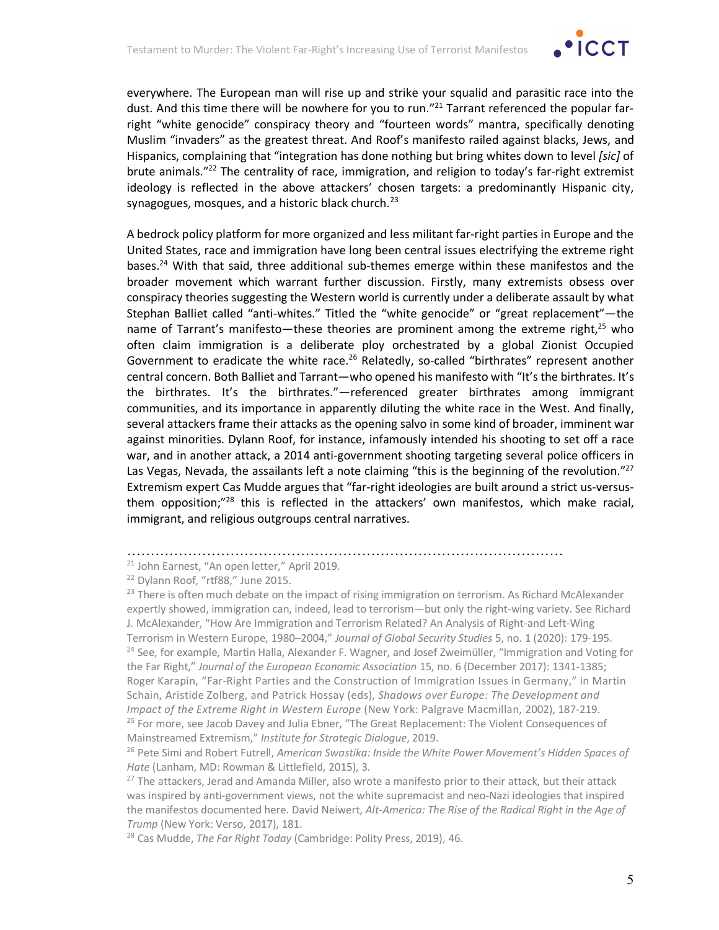

everywhere. The European man will rise up and strike your squalid and parasitic race into the dust. And this time there will be nowhere for you to run."<sup>21</sup> Tarrant referenced the popular farright "white genocide" conspiracy theory and "fourteen words" mantra, specifically denoting Muslim "invaders" as the greatest threat. And Roof's manifesto railed against blacks, Jews, and Hispanics, complaining that "integration has done nothing but bring whites down to level *[sic]* of brute animals."<sup>22</sup> The centrality of race, immigration, and religion to today's far-right extremist ideology is reflected in the above attackers' chosen targets: a predominantly Hispanic city, synagogues, mosques, and a historic black church. $^{23}$ 

A bedrock policy platform for more organized and less militant far-right parties in Europe and the United States, race and immigration have long been central issues electrifying the extreme right bases.24 With that said, three additional sub-themes emerge within these manifestos and the broader movement which warrant further discussion. Firstly, many extremists obsess over conspiracy theories suggesting the Western world is currently under a deliberate assault by what Stephan Balliet called "anti-whites." Titled the "white genocide" or "great replacement"—the name of Tarrant's manifesto—these theories are prominent among the extreme right,<sup>25</sup> who often claim immigration is a deliberate ploy orchestrated by a global Zionist Occupied Government to eradicate the white race.<sup>26</sup> Relatedly, so-called "birthrates" represent another central concern. Both Balliet and Tarrant—who opened his manifesto with "It's the birthrates. It's the birthrates. It's the birthrates."—referenced greater birthrates among immigrant communities, and its importance in apparently diluting the white race in the West. And finally, several attackers frame their attacks as the opening salvo in some kind of broader, imminent war against minorities. Dylann Roof, for instance, infamously intended his shooting to set off a race war, and in another attack, a 2014 anti-government shooting targeting several police officers in Las Vegas, Nevada, the assailants left a note claiming "this is the beginning of the revolution."<sup>27</sup> Extremism expert Cas Mudde argues that "far-right ideologies are built around a strict us-versusthem opposition;"<sup>28</sup> this is reflected in the attackers' own manifestos, which make racial, immigrant, and religious outgroups central narratives.

<sup>…………………………………………………………………………………</sup>

<sup>21</sup> John Earnest, "An open letter," April 2019.

<sup>&</sup>lt;sup>22</sup> Dylann Roof, "rtf88," June 2015.

 $^{23}$  There is often much debate on the impact of rising immigration on terrorism. As Richard McAlexander expertly showed, immigration can, indeed, lead to terrorism—but only the right-wing variety. See Richard J. McAlexander, "How Are Immigration and Terrorism Related? An Analysis of Right-and Left-Wing Terrorism in Western Europe, 1980–2004," *Journal of Global Security Studies* 5, no. 1 (2020): 179-195. <sup>24</sup> See, for example, Martin Halla, Alexander F. Wagner, and Josef Zweimüller, "Immigration and Voting for the Far Right," *Journal of the European Economic Association* 15, no. 6 (December 2017): 1341-1385; Roger Karapin, "Far-Right Parties and the Construction of Immigration Issues in Germany," in Martin Schain, Aristide Zolberg, and Patrick Hossay (eds), *Shadows over Europe: The Development and Impact of the Extreme Right in Western Europe* (New York: Palgrave Macmillan, 2002), 187-219. <sup>25</sup> For more, see Jacob Davey and Julia Ebner, "The Great Replacement: The Violent Consequences of

Mainstreamed Extremism," *Institute for Strategic Dialogue*, 2019.<br><sup>26</sup> Pete Simi and Robert Futrell, *American Swastika: Inside the White Power Movement's Hidden Spaces of Hate* (Lanham, MD: Rowman & Littlefield, 2015), 3.

<sup>&</sup>lt;sup>27</sup> The attackers, Jerad and Amanda Miller, also wrote a manifesto prior to their attack, but their attack was inspired by anti-government views, not the white supremacist and neo-Nazi ideologies that inspired the manifestos documented here. David Neiwert, *Alt-America: The Rise of the Radical Right in the Age of Trump* (New York: Verso, 2017), 181.

<sup>28</sup> Cas Mudde, *The Far Right Today* (Cambridge: Polity Press, 2019), 46.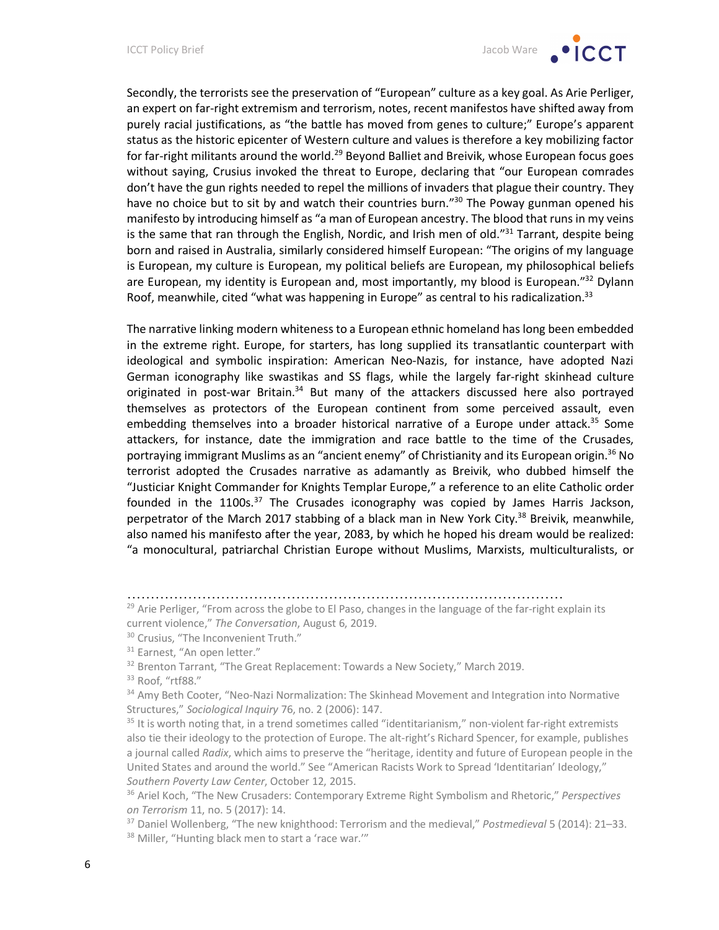Secondly, the terrorists see the preservation of "European" culture as a key goal. As Arie Perliger, an expert on far-right extremism and terrorism, notes, recent manifestos have shifted away from purely racial justifications, as "the battle has moved from genes to culture;" Europe's apparent status as the historic epicenter of Western culture and values is therefore a key mobilizing factor for far-right militants around the world.<sup>29</sup> Beyond Balliet and Breivik, whose European focus goes without saying, Crusius invoked the threat to Europe, declaring that "our European comrades don't have the gun rights needed to repel the millions of invaders that plague their country. They have no choice but to sit by and watch their countries burn."<sup>30</sup> The Poway gunman opened his manifesto by introducing himself as "a man of European ancestry. The blood that runs in my veins is the same that ran through the English, Nordic, and Irish men of old." $31$  Tarrant, despite being born and raised in Australia, similarly considered himself European: "The origins of my language is European, my culture is European, my political beliefs are European, my philosophical beliefs are European, my identity is European and, most importantly, my blood is European."<sup>32</sup> Dylann Roof, meanwhile, cited "what was happening in Europe" as central to his radicalization. $33$ 

The narrative linking modern whiteness to a European ethnic homeland has long been embedded in the extreme right. Europe, for starters, has long supplied its transatlantic counterpart with ideological and symbolic inspiration: American Neo-Nazis, for instance, have adopted Nazi German iconography like swastikas and SS flags, while the largely far-right skinhead culture originated in post-war Britain.<sup>34</sup> But many of the attackers discussed here also portrayed themselves as protectors of the European continent from some perceived assault, even embedding themselves into a broader historical narrative of a Europe under attack.<sup>35</sup> Some attackers, for instance, date the immigration and race battle to the time of the Crusades, portraying immigrant Muslims as an "ancient enemy" of Christianity and its European origin.36 No terrorist adopted the Crusades narrative as adamantly as Breivik, who dubbed himself the "Justiciar Knight Commander for Knights Templar Europe," a reference to an elite Catholic order founded in the 1100s.<sup>37</sup> The Crusades iconography was copied by James Harris Jackson, perpetrator of the March 2017 stabbing of a black man in New York City.<sup>38</sup> Breivik, meanwhile, also named his manifesto after the year, 2083, by which he hoped his dream would be realized: "a monocultural, patriarchal Christian Europe without Muslims, Marxists, multiculturalists, or

…………………………………………………………………………………

<sup>33</sup> Roof, "rtf88."

 $29$  Arie Perliger, "From across the globe to El Paso, changes in the language of the far-right explain its current violence," *The Conversation*, August 6, 2019.

<sup>&</sup>lt;sup>30</sup> Crusius, "The Inconvenient Truth."

<sup>&</sup>lt;sup>31</sup> Earnest, "An open letter."

<sup>&</sup>lt;sup>32</sup> Brenton Tarrant, "The Great Replacement: Towards a New Society," March 2019.

<sup>&</sup>lt;sup>34</sup> Amy Beth Cooter, "Neo-Nazi Normalization: The Skinhead Movement and Integration into Normative Structures," *Sociological Inquiry* 76, no. 2 (2006): 147.

 $35$  It is worth noting that, in a trend sometimes called "identitarianism," non-violent far-right extremists also tie their ideology to the protection of Europe. The alt-right's Richard Spencer, for example, publishes a journal called *Radix*, which aims to preserve the "heritage, identity and future of European people in the United States and around the world." See "American Racists Work to Spread 'Identitarian' Ideology," *Southern Poverty Law Center*, October 12, 2015.

<sup>36</sup> Ariel Koch, "The New Crusaders: Contemporary Extreme Right Symbolism and Rhetoric," *Perspectives on Terrorism* 11, no. 5 (2017): 14.

<sup>37</sup> Daniel Wollenberg, "The new knighthood: Terrorism and the medieval," *Postmedieval* 5 (2014): 21–33. <sup>38</sup> Miller, "Hunting black men to start a 'race war.""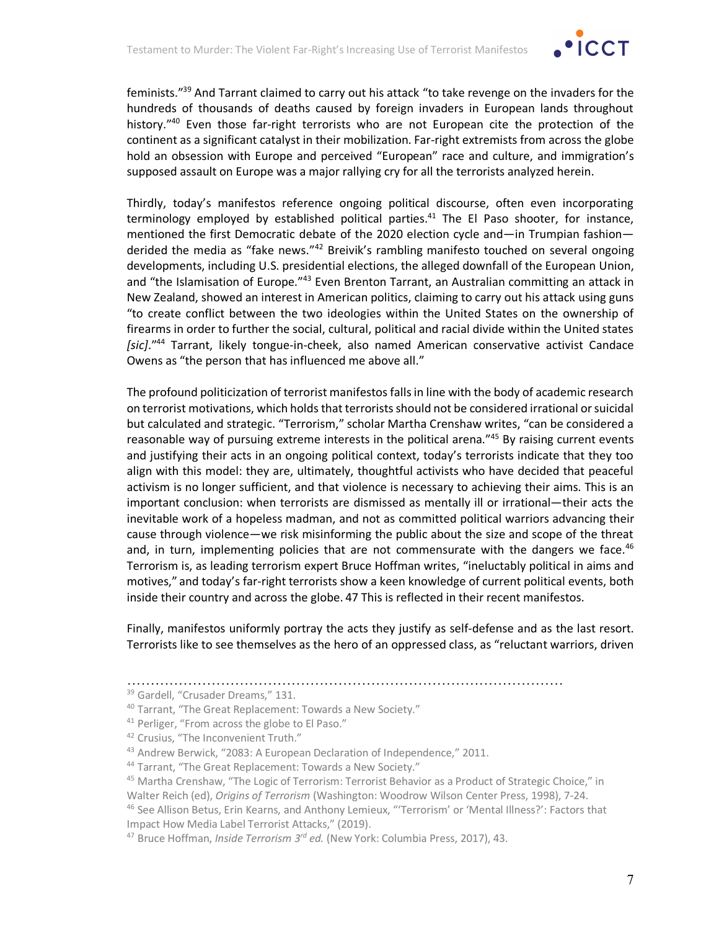

feminists."39 And Tarrant claimed to carry out his attack "to take revenge on the invaders for the hundreds of thousands of deaths caused by foreign invaders in European lands throughout history."<sup>40</sup> Even those far-right terrorists who are not European cite the protection of the continent as a significant catalyst in their mobilization. Far-right extremists from across the globe hold an obsession with Europe and perceived "European" race and culture, and immigration's supposed assault on Europe was a major rallying cry for all the terrorists analyzed herein.

Thirdly, today's manifestos reference ongoing political discourse, often even incorporating terminology employed by established political parties.<sup>41</sup> The El Paso shooter, for instance, mentioned the first Democratic debate of the 2020 election cycle and—in Trumpian fashion derided the media as "fake news."<sup>42</sup> Breivik's rambling manifesto touched on several ongoing developments, including U.S. presidential elections, the alleged downfall of the European Union, and "the Islamisation of Europe."43 Even Brenton Tarrant, an Australian committing an attack in New Zealand, showed an interest in American politics, claiming to carry out his attack using guns "to create conflict between the two ideologies within the United States on the ownership of firearms in order to further the social, cultural, political and racial divide within the United states *[sic]*."44 Tarrant, likely tongue-in-cheek, also named American conservative activist Candace Owens as "the person that has influenced me above all."

The profound politicization of terrorist manifestos falls in line with the body of academic research on terrorist motivations, which holds that terrorists should not be considered irrational or suicidal but calculated and strategic. "Terrorism," scholar Martha Crenshaw writes, "can be considered a reasonable way of pursuing extreme interests in the political arena."<sup>45</sup> By raising current events and justifying their acts in an ongoing political context, today's terrorists indicate that they too align with this model: they are, ultimately, thoughtful activists who have decided that peaceful activism is no longer sufficient, and that violence is necessary to achieving their aims. This is an important conclusion: when terrorists are dismissed as mentally ill or irrational—their acts the inevitable work of a hopeless madman, and not as committed political warriors advancing their cause through violence—we risk misinforming the public about the size and scope of the threat and, in turn, implementing policies that are not commensurate with the dangers we face. $46$ Terrorism is, as leading terrorism expert Bruce Hoffman writes, "ineluctably political in aims and motives," and today's far-right terrorists show a keen knowledge of current political events, both inside their country and across the globe. 47 This is reflected in their recent manifestos.

Finally, manifestos uniformly portray the acts they justify as self-defense and as the last resort. Terrorists like to see themselves as the hero of an oppressed class, as "reluctant warriors, driven

<sup>…………………………………………………………………………………</sup>

<sup>&</sup>lt;sup>39</sup> Gardell, "Crusader Dreams," 131.

<sup>40</sup> Tarrant, "The Great Replacement: Towards a New Society."

<sup>41</sup> Perliger, "From across the globe to El Paso."

<sup>42</sup> Crusius, "The Inconvenient Truth."

<sup>43</sup> Andrew Berwick, "2083: A European Declaration of Independence," 2011.

<sup>44</sup> Tarrant, "The Great Replacement: Towards a New Society."

<sup>&</sup>lt;sup>45</sup> Martha Crenshaw, "The Logic of Terrorism: Terrorist Behavior as a Product of Strategic Choice," in Walter Reich (ed), *Origins of Terrorism* (Washington: Woodrow Wilson Center Press, 1998), 7-24.

<sup>46</sup> See Allison Betus, Erin Kearns, and Anthony Lemieux, "'Terrorism' or 'Mental Illness?': Factors that Impact How Media Label Terrorist Attacks," (2019).

<sup>47</sup> Bruce Hoffman, *Inside Terrorism 3rd ed.* (New York: Columbia Press, 2017), 43.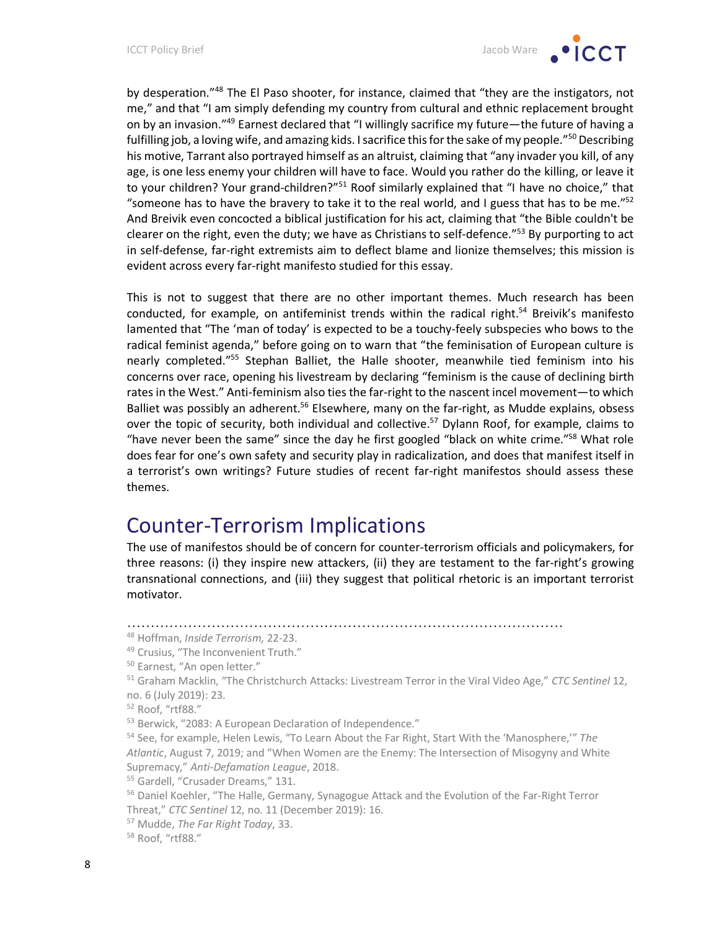by desperation."<sup>48</sup> The El Paso shooter, for instance, claimed that "they are the instigators, not me," and that "I am simply defending my country from cultural and ethnic replacement brought on by an invasion."49 Earnest declared that "I willingly sacrifice my future—the future of having a fulfilling job, a loving wife, and amazing kids. I sacrifice this for the sake of my people."<sup>50</sup> Describing his motive, Tarrant also portrayed himself as an altruist, claiming that "any invader you kill, of any age, is one less enemy your children will have to face. Would you rather do the killing, or leave it to your children? Your grand-children?"<sup>51</sup> Roof similarly explained that "I have no choice," that "someone has to have the bravery to take it to the real world, and I guess that has to be me." $52$ And Breivik even concocted a biblical justification for his act, claiming that "the Bible couldn't be clearer on the right, even the duty; we have as Christians to self-defence."<sup>53</sup> By purporting to act in self-defense, far-right extremists aim to deflect blame and lionize themselves; this mission is evident across every far-right manifesto studied for this essay.

This is not to suggest that there are no other important themes. Much research has been conducted, for example, on antifeminist trends within the radical right.<sup>54</sup> Breivik's manifesto lamented that "The 'man of today' is expected to be a touchy-feely subspecies who bows to the radical feminist agenda," before going on to warn that "the feminisation of European culture is nearly completed."55 Stephan Balliet, the Halle shooter, meanwhile tied feminism into his concerns over race, opening his livestream by declaring "feminism is the cause of declining birth rates in the West." Anti-feminism also ties the far-right to the nascent incel movement—to which Balliet was possibly an adherent.<sup>56</sup> Elsewhere, many on the far-right, as Mudde explains, obsess over the topic of security, both individual and collective.<sup>57</sup> Dylann Roof, for example, claims to "have never been the same" since the day he first googled "black on white crime."<sup>58</sup> What role does fear for one's own safety and security play in radicalization, and does that manifest itself in a terrorist's own writings? Future studies of recent far-right manifestos should assess these themes.

### Counter-Terrorism Implications

The use of manifestos should be of concern for counter-terrorism officials and policymakers, for three reasons: (i) they inspire new attackers, (ii) they are testament to the far-right's growing transnational connections, and (iii) they suggest that political rhetoric is an important terrorist motivator.

<sup>…………………………………………………………………………………</sup>

<sup>48</sup> Hoffman, *Inside Terrorism,* 22-23.

<sup>49</sup> Crusius, "The Inconvenient Truth."

<sup>50</sup> Earnest, "An open letter."

<sup>51</sup> Graham Macklin, "The Christchurch Attacks: Livestream Terror in the Viral Video Age," *CTC Sentinel* 12, no. 6 (July 2019): 23.

<sup>52</sup> Roof, "rtf88."

<sup>53</sup> Berwick, "2083: A European Declaration of Independence."

<sup>54</sup> See, for example, Helen Lewis, "To Learn About the Far Right, Start With the 'Manosphere,'" *The Atlantic*, August 7, 2019; and "When Women are the Enemy: The Intersection of Misogyny and White Supremacy," *Anti-Defamation League*, 2018.

<sup>55</sup> Gardell, "Crusader Dreams," 131.

<sup>&</sup>lt;sup>56</sup> Daniel Koehler, "The Halle, Germany, Synagogue Attack and the Evolution of the Far-Right Terror Threat," *CTC Sentinel* 12, no. 11 (December 2019): 16.

<sup>57</sup> Mudde, *The Far Right Today*, 33.

<sup>58</sup> Roof, "rtf88."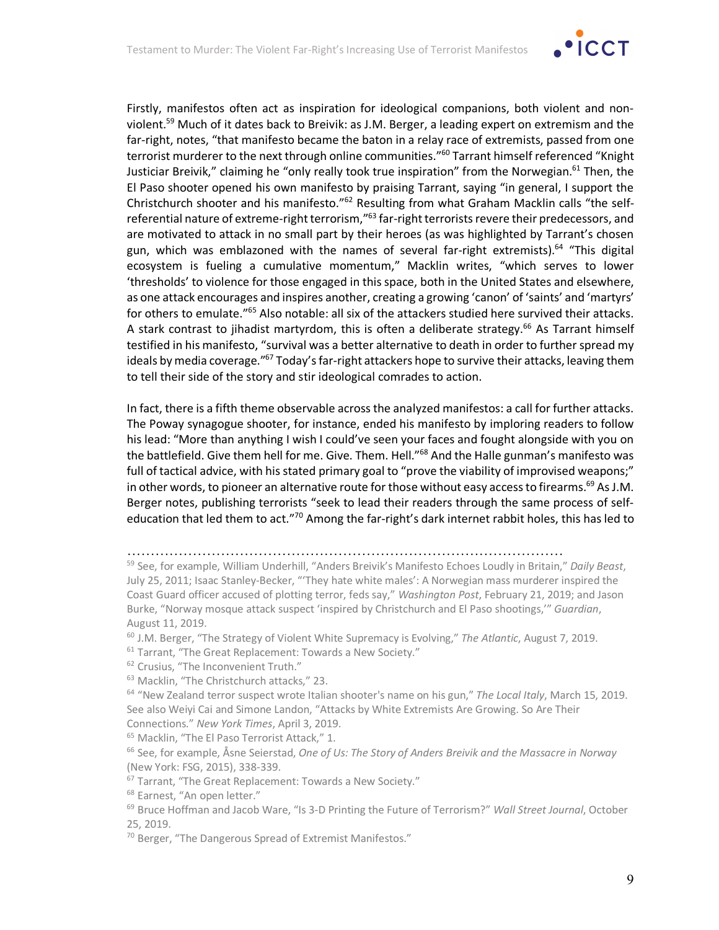

Firstly, manifestos often act as inspiration for ideological companions, both violent and nonviolent.<sup>59</sup> Much of it dates back to Breivik: as J.M. Berger, a leading expert on extremism and the far-right, notes, "that manifesto became the baton in a relay race of extremists, passed from one terrorist murderer to the next through online communities."<sup>60</sup> Tarrant himself referenced "Knight Justiciar Breivik," claiming he "only really took true inspiration" from the Norwegian.<sup>61</sup> Then, the El Paso shooter opened his own manifesto by praising Tarrant, saying "in general, I support the Christchurch shooter and his manifesto."62 Resulting from what Graham Macklin calls "the selfreferential nature of extreme-right terrorism,"<sup>63</sup> far-right terrorists revere their predecessors, and are motivated to attack in no small part by their heroes (as was highlighted by Tarrant's chosen gun, which was emblazoned with the names of several far-right extremists).<sup>64</sup> "This digital ecosystem is fueling a cumulative momentum," Macklin writes, "which serves to lower 'thresholds' to violence for those engaged in this space, both in the United States and elsewhere, as one attack encourages and inspires another, creating a growing 'canon' of 'saints' and 'martyrs' for others to emulate."<sup>65</sup> Also notable: all six of the attackers studied here survived their attacks. A stark contrast to jihadist martyrdom, this is often a deliberate strategy.<sup>66</sup> As Tarrant himself testified in his manifesto, "survival was a better alternative to death in order to further spread my ideals by media coverage."<sup>67</sup> Today's far-right attackers hope to survive their attacks, leaving them to tell their side of the story and stir ideological comrades to action.

In fact, there is a fifth theme observable across the analyzed manifestos: a call for further attacks. The Poway synagogue shooter, for instance, ended his manifesto by imploring readers to follow his lead: "More than anything I wish I could've seen your faces and fought alongside with you on the battlefield. Give them hell for me. Give. Them. Hell."<sup>68</sup> And the Halle gunman's manifesto was full of tactical advice, with his stated primary goal to "prove the viability of improvised weapons;" in other words, to pioneer an alternative route for those without easy access to firearms.<sup>69</sup> As J.M. Berger notes, publishing terrorists "seek to lead their readers through the same process of selfeducation that led them to act."<sup>70</sup> Among the far-right's dark internet rabbit holes, this has led to

- <sup>60</sup> J.M. Berger, "The Strategy of Violent White Supremacy is Evolving," *The Atlantic*, August 7, 2019. <sup>61</sup> Tarrant, "The Great Replacement: Towards a New Society."
- <sup>62</sup> Crusius, "The Inconvenient Truth."
- <sup>63</sup> Macklin, "The Christchurch attacks," 23.

<sup>…………………………………………………………………………………</sup>

<sup>59</sup> See, for example, William Underhill, "Anders Breivik's Manifesto Echoes Loudly in Britain," *Daily Beast*, July 25, 2011; Isaac Stanley-Becker, "'They hate white males': A Norwegian mass murderer inspired the Coast Guard officer accused of plotting terror, feds say," *Washington Post*, February 21, 2019; and Jason Burke, "Norway mosque attack suspect 'inspired by Christchurch and El Paso shootings,'" *Guardian*, August 11, 2019.

<sup>64</sup> "New Zealand terror suspect wrote Italian shooter's name on his gun," *The Local Italy*, March 15, 2019. See also Weiyi Cai and Simone Landon, "Attacks by White Extremists Are Growing. So Are Their Connections." *New York Times*, April 3, 2019.

<sup>65</sup> Macklin, "The El Paso Terrorist Attack," 1.

<sup>66</sup> See, for example, Åsne Seierstad, *One of Us: The Story of Anders Breivik and the Massacre in Norway* (New York: FSG, 2015), 338-339.

<sup>&</sup>lt;sup>67</sup> Tarrant, "The Great Replacement: Towards a New Society."

<sup>&</sup>lt;sup>68</sup> Earnest, "An open letter."

<sup>69</sup> Bruce Hoffman and Jacob Ware, "Is 3-D Printing the Future of Terrorism?" *Wall Street Journal*, October 25, 2019.

<sup>&</sup>lt;sup>70</sup> Berger, "The Dangerous Spread of Extremist Manifestos."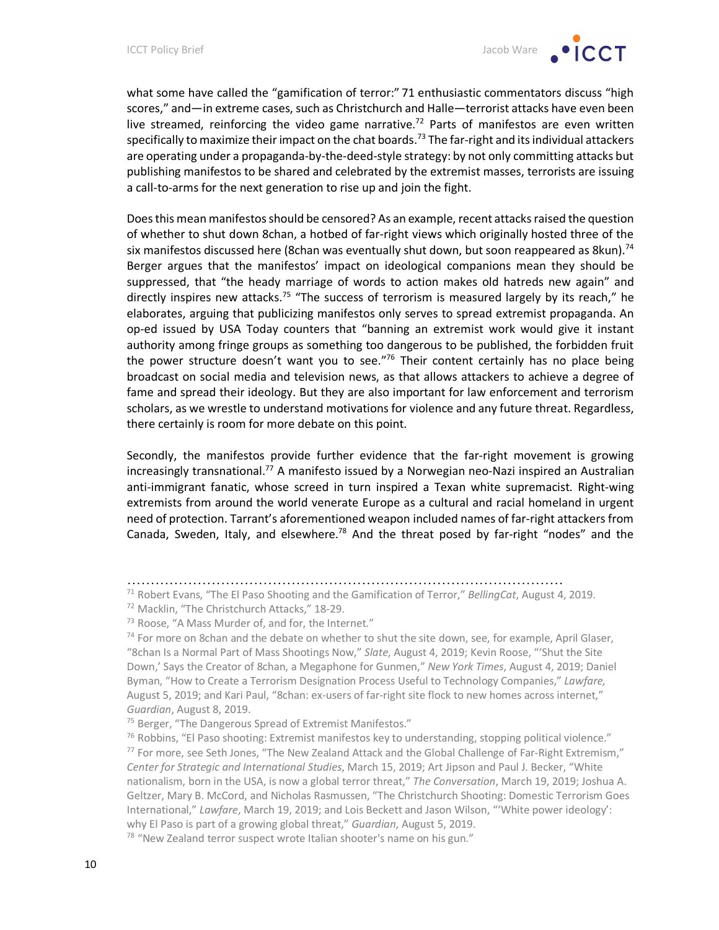what some have called the "gamification of terror:" 71 enthusiastic commentators discuss "high scores," and—in extreme cases, such as Christchurch and Halle—terrorist attacks have even been live streamed, reinforcing the video game narrative.<sup>72</sup> Parts of manifestos are even written specifically to maximize their impact on the chat boards.<sup>73</sup> The far-right and its individual attackers are operating under a propaganda-by-the-deed-style strategy: by not only committing attacks but publishing manifestos to be shared and celebrated by the extremist masses, terrorists are issuing a call-to-arms for the next generation to rise up and join the fight.

Does this mean manifestos should be censored? As an example, recent attacks raised the question of whether to shut down 8chan, a hotbed of far-right views which originally hosted three of the six manifestos discussed here (8chan was eventually shut down, but soon reappeared as 8kun).<sup>74</sup> Berger argues that the manifestos' impact on ideological companions mean they should be suppressed, that "the heady marriage of words to action makes old hatreds new again" and directly inspires new attacks.<sup>75</sup> "The success of terrorism is measured largely by its reach," he elaborates, arguing that publicizing manifestos only serves to spread extremist propaganda. An op-ed issued by USA Today counters that "banning an extremist work would give it instant authority among fringe groups as something too dangerous to be published, the forbidden fruit the power structure doesn't want you to see."<sup>76</sup> Their content certainly has no place being broadcast on social media and television news, as that allows attackers to achieve a degree of fame and spread their ideology. But they are also important for law enforcement and terrorism scholars, as we wrestle to understand motivations for violence and any future threat. Regardless, there certainly is room for more debate on this point.

Secondly, the manifestos provide further evidence that the far-right movement is growing increasingly transnational.<sup>77</sup> A manifesto issued by a Norwegian neo-Nazi inspired an Australian anti-immigrant fanatic, whose screed in turn inspired a Texan white supremacist. Right-wing extremists from around the world venerate Europe as a cultural and racial homeland in urgent need of protection. Tarrant's aforementioned weapon included names of far-right attackers from Canada, Sweden, Italy, and elsewhere.<sup>78</sup> And the threat posed by far-right "nodes" and the

<sup>…………………………………………………………………………………</sup>

<sup>71</sup> Robert Evans, "The El Paso Shooting and the Gamification of Terror," *BellingCat*, August 4, 2019.

<sup>72</sup> Macklin, "The Christchurch Attacks," 18-29.

<sup>&</sup>lt;sup>73</sup> Roose, "A Mass Murder of, and for, the Internet."

 $74$  For more on 8chan and the debate on whether to shut the site down, see, for example, April Glaser, "8chan Is a Normal Part of Mass Shootings Now," *Slate*, August 4, 2019; Kevin Roose, "'Shut the Site Down,' Says the Creator of 8chan, a Megaphone for Gunmen," *New York Times*, August 4, 2019; Daniel Byman, "How to Create a Terrorism Designation Process Useful to Technology Companies," *Lawfare,*  August 5, 2019; and Kari Paul, "8chan: ex-users of far-right site flock to new homes across internet," *Guardian*, August 8, 2019.

<sup>&</sup>lt;sup>75</sup> Berger, "The Dangerous Spread of Extremist Manifestos."

 $76$  Robbins, "El Paso shooting: Extremist manifestos key to understanding, stopping political violence."  $77$  For more, see Seth Jones, "The New Zealand Attack and the Global Challenge of Far-Right Extremism," *Center for Strategic and International Studies*, March 15, 2019; Art Jipson and Paul J. Becker, "White nationalism, born in the USA, is now a global terror threat," *The Conversation*, March 19, 2019; Joshua A. Geltzer, Mary B. McCord, and Nicholas Rasmussen, "The Christchurch Shooting: Domestic Terrorism Goes International," *Lawfare*, March 19, 2019; and Lois Beckett and Jason Wilson, "'White power ideology': why El Paso is part of a growing global threat," *Guardian*, August 5, 2019.

<sup>&</sup>lt;sup>78</sup> "New Zealand terror suspect wrote Italian shooter's name on his gun."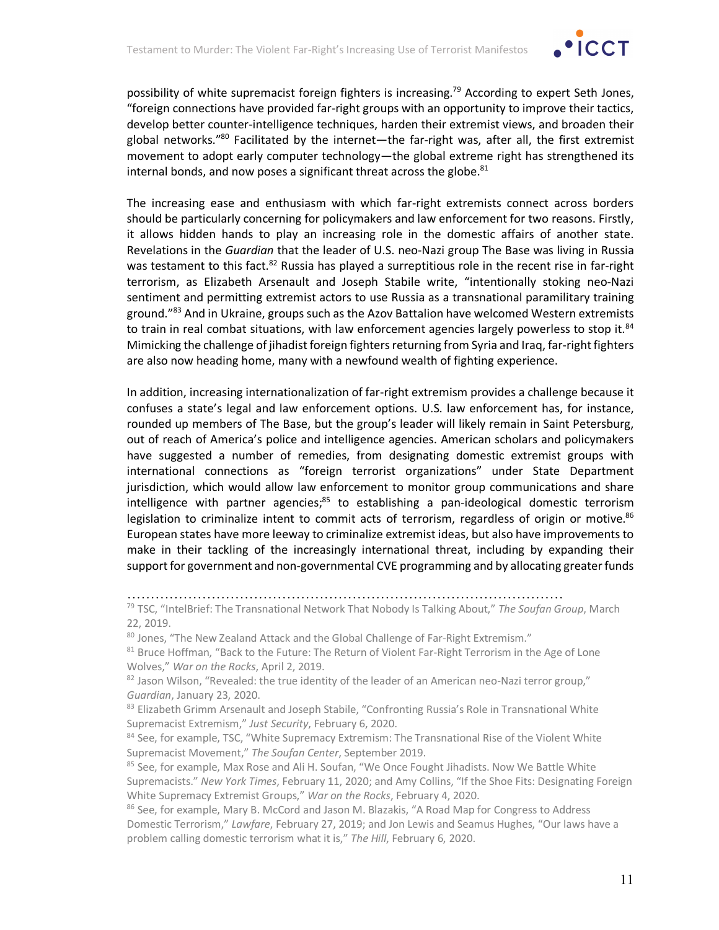

possibility of white supremacist foreign fighters is increasing.<sup>79</sup> According to expert Seth Jones, "foreign connections have provided far-right groups with an opportunity to improve their tactics, develop better counter-intelligence techniques, harden their extremist views, and broaden their global networks."<sup>80</sup> Facilitated by the internet—the far-right was, after all, the first extremist movement to adopt early computer technology—the global extreme right has strengthened its internal bonds, and now poses a significant threat across the globe. $81$ 

The increasing ease and enthusiasm with which far-right extremists connect across borders should be particularly concerning for policymakers and law enforcement for two reasons. Firstly, it allows hidden hands to play an increasing role in the domestic affairs of another state. Revelations in the *Guardian* that the leader of U.S. neo-Nazi group The Base was living in Russia was testament to this fact.<sup>82</sup> Russia has played a surreptitious role in the recent rise in far-right terrorism, as Elizabeth Arsenault and Joseph Stabile write, "intentionally stoking neo-Nazi sentiment and permitting extremist actors to use Russia as a transnational paramilitary training ground."<sup>83</sup> And in Ukraine, groups such as the Azov Battalion have welcomed Western extremists to train in real combat situations, with law enforcement agencies largely powerless to stop it.<sup>84</sup> Mimicking the challenge of jihadist foreign fighters returning from Syria and Iraq, far-right fighters are also now heading home, many with a newfound wealth of fighting experience.

In addition, increasing internationalization of far-right extremism provides a challenge because it confuses a state's legal and law enforcement options. U.S. law enforcement has, for instance, rounded up members of The Base, but the group's leader will likely remain in Saint Petersburg, out of reach of America's police and intelligence agencies. American scholars and policymakers have suggested a number of remedies, from designating domestic extremist groups with international connections as "foreign terrorist organizations" under State Department jurisdiction, which would allow law enforcement to monitor group communications and share intelligence with partner agencies; $85$  to establishing a pan-ideological domestic terrorism legislation to criminalize intent to commit acts of terrorism, regardless of origin or motive. $86$ European states have more leeway to criminalize extremist ideas, but also have improvements to make in their tackling of the increasingly international threat, including by expanding their support for government and non-governmental CVE programming and by allocating greater funds

…………………………………………………………………………………

80 Jones, "The New Zealand Attack and the Global Challenge of Far-Right Extremism."

<sup>79</sup> TSC, "IntelBrief: The Transnational Network That Nobody Is Talking About," *The Soufan Group*, March 22, 2019.

<sup>81</sup> Bruce Hoffman, "Back to the Future: The Return of Violent Far-Right Terrorism in the Age of Lone Wolves," *War on the Rocks*, April 2, 2019.

 $82$  Jason Wilson, "Revealed: the true identity of the leader of an American neo-Nazi terror group," *Guardian*, January 23, 2020.

<sup>83</sup> Elizabeth Grimm Arsenault and Joseph Stabile, "Confronting Russia's Role in Transnational White Supremacist Extremism," *Just Security*, February 6, 2020.

<sup>&</sup>lt;sup>84</sup> See, for example, TSC, "White Supremacy Extremism: The Transnational Rise of the Violent White Supremacist Movement," *The Soufan Center*, September 2019.

<sup>&</sup>lt;sup>85</sup> See, for example, Max Rose and Ali H. Soufan, "We Once Fought Jihadists. Now We Battle White Supremacists." *New York Times*, February 11, 2020; and Amy Collins, "If the Shoe Fits: Designating Foreign White Supremacy Extremist Groups," *War on the Rocks*, February 4, 2020.<br><sup>86</sup> See, for example, Mary B. McCord and Jason M. Blazakis, "A Road Map for Congress to Address

Domestic Terrorism," *Lawfare*, February 27, 2019; and Jon Lewis and Seamus Hughes, "Our laws have a problem calling domestic terrorism what it is," *The Hill*, February 6, 2020.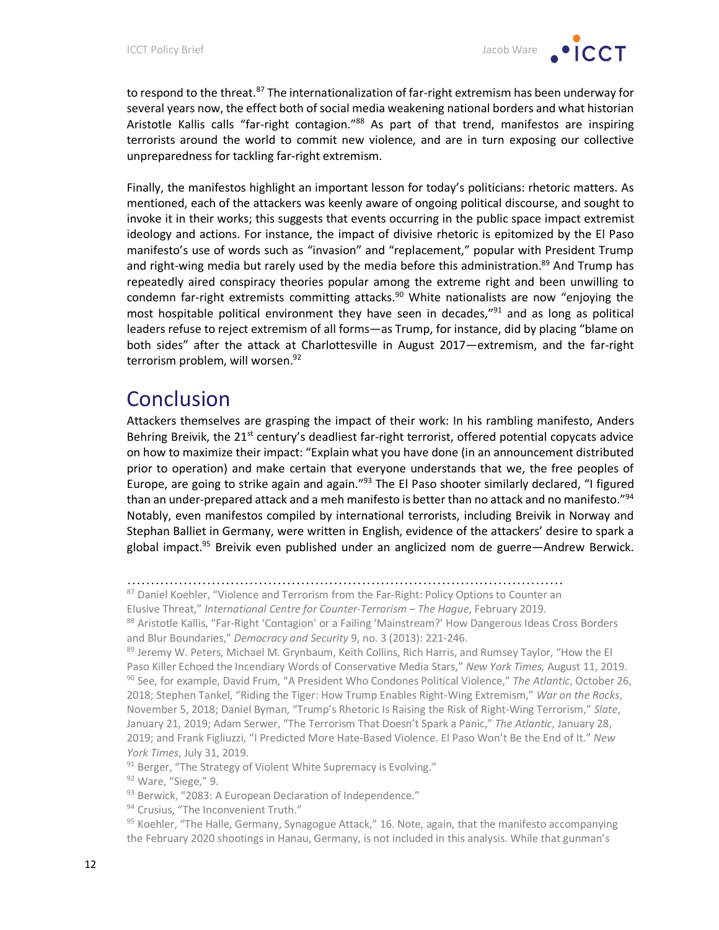to respond to the threat.<sup>87</sup> The internationalization of far-right extremism has been underway for several years now, the effect both of social media weakening national borders and what historian Aristotle Kallis calls "far-right contagion."<sup>88</sup> As part of that trend, manifestos are inspiring terrorists around the world to commit new violence, and are in turn exposing our collective unpreparedness for tackling far-right extremism.

Finally, the manifestos highlight an important lesson for today's politicians: rhetoric matters. As mentioned, each of the attackers was keenly aware of ongoing political discourse, and sought to invoke it in their works; this suggests that events occurring in the public space impact extremist ideology and actions. For instance, the impact of divisive rhetoric is epitomized by the El Paso manifesto's use of words such as "invasion" and "replacement," popular with President Trump and right-wing media but rarely used by the media before this administration.<sup>89</sup> And Trump has repeatedly aired conspiracy theories popular among the extreme right and been unwilling to condemn far-right extremists committing attacks.<sup>90</sup> White nationalists are now "enjoying the most hospitable political environment they have seen in decades,"<sup>91</sup> and as long as political leaders refuse to reject extremism of all forms—as Trump, for instance, did by placing "blame on both sides" after the attack at Charlottesville in August 2017—extremism, and the far-right terrorism problem, will worsen.<sup>92</sup>

### Conclusion

Attackers themselves are grasping the impact of their work: In his rambling manifesto, Anders Behring Breivik, the  $21<sup>st</sup>$  century's deadliest far-right terrorist, offered potential copycats advice on how to maximize their impact: "Explain what you have done (in an announcement distributed prior to operation) and make certain that everyone understands that we, the free peoples of Europe, are going to strike again and again."<sup>93</sup> The El Paso shooter similarly declared, "I figured than an under-prepared attack and a meh manifesto is better than no attack and no manifesto."<sup>94</sup> Notably, even manifestos compiled by international terrorists, including Breivik in Norway and Stephan Balliet in Germany, were written in English, evidence of the attackers' desire to spark a global impact.<sup>95</sup> Breivik even published under an anglicized nom de guerre—Andrew Berwick.

<sup>87</sup> Daniel Koehler, "Violence and Terrorism from the Far-Right: Policy Options to Counter an

91 Berger, "The Strategy of Violent White Supremacy is Evolving."

<sup>92</sup> Ware, "Siege," 9.

- 93 Berwick, "2083: A European Declaration of Independence."
- <sup>94</sup> Crusius, "The Inconvenient Truth."

<sup>…………………………………………………………………………………</sup>

Elusive Threat," *International Centre for Counter-Terrorism – The Hague*, February 2019.

<sup>88</sup> Aristotle Kallis, "Far-Right 'Contagion' or a Failing 'Mainstream?' How Dangerous Ideas Cross Borders and Blur Boundaries," *Democracy and Security* 9, no. 3 (2013): 221-246.

<sup>89</sup> Jeremy W. Peters, Michael M. Grynbaum, Keith Collins, Rich Harris, and Rumsey Taylor, "How the El Paso Killer Echoed the Incendiary Words of Conservative Media Stars," *New York Times,* August 11, 2019. <sup>90</sup> See, for example, David Frum, "A President Who Condones Political Violence," *The Atlantic*, October 26, 2018; Stephen Tankel, "Riding the Tiger: How Trump Enables Right-Wing Extremism," *War on the Rocks*, November 5, 2018; Daniel Byman, "Trump's Rhetoric Is Raising the Risk of Right-Wing Terrorism," *Slate*, January 21, 2019; Adam Serwer, "The Terrorism That Doesn't Spark a Panic," *The Atlantic*, January 28, 2019; and Frank Figliuzzi, "I Predicted More Hate-Based Violence. El Paso Won't Be the End of It." *New York Times*, July 31, 2019.

 $95$  Koehler, "The Halle, Germany, Synagogue Attack," 16. Note, again, that the manifesto accompanying the February 2020 shootings in Hanau, Germany, is not included in this analysis. While that gunman's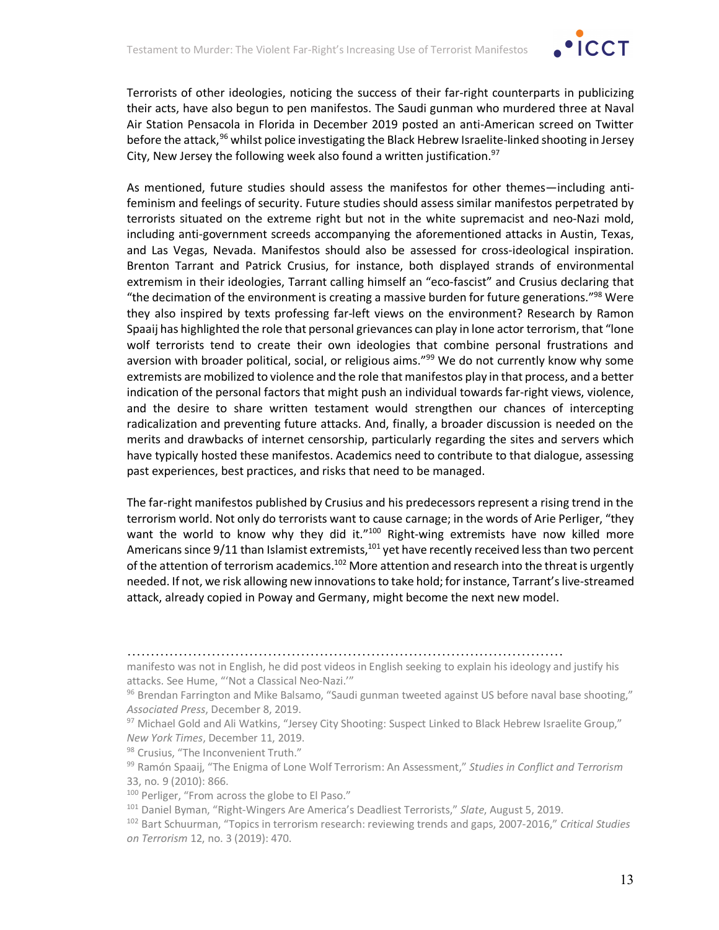

Terrorists of other ideologies, noticing the success of their far-right counterparts in publicizing their acts, have also begun to pen manifestos. The Saudi gunman who murdered three at Naval Air Station Pensacola in Florida in December 2019 posted an anti-American screed on Twitter before the attack,<sup>96</sup> whilst police investigating the Black Hebrew Israelite-linked shooting in Jersey City, New Jersey the following week also found a written justification. $97$ 

As mentioned, future studies should assess the manifestos for other themes—including antifeminism and feelings of security. Future studies should assess similar manifestos perpetrated by terrorists situated on the extreme right but not in the white supremacist and neo-Nazi mold, including anti-government screeds accompanying the aforementioned attacks in Austin, Texas, and Las Vegas, Nevada. Manifestos should also be assessed for cross-ideological inspiration. Brenton Tarrant and Patrick Crusius, for instance, both displayed strands of environmental extremism in their ideologies, Tarrant calling himself an "eco-fascist" and Crusius declaring that "the decimation of the environment is creating a massive burden for future generations."<sup>98</sup> Were they also inspired by texts professing far-left views on the environment? Research by Ramon Spaaij has highlighted the role that personal grievances can play in lone actor terrorism, that "lone wolf terrorists tend to create their own ideologies that combine personal frustrations and aversion with broader political, social, or religious aims."<sup>99</sup> We do not currently know why some extremists are mobilized to violence and the role that manifestos play in that process, and a better indication of the personal factors that might push an individual towards far-right views, violence, and the desire to share written testament would strengthen our chances of intercepting radicalization and preventing future attacks. And, finally, a broader discussion is needed on the merits and drawbacks of internet censorship, particularly regarding the sites and servers which have typically hosted these manifestos. Academics need to contribute to that dialogue, assessing past experiences, best practices, and risks that need to be managed.

The far-right manifestos published by Crusius and his predecessors represent a rising trend in the terrorism world. Not only do terrorists want to cause carnage; in the words of Arie Perliger, "they want the world to know why they did it."<sup>100</sup> Right-wing extremists have now killed more Americans since  $9/11$  than Islamist extremists,<sup>101</sup> yet have recently received less than two percent of the attention of terrorism academics.<sup>102</sup> More attention and research into the threat is urgently needed. If not, we risk allowing new innovations to take hold; for instance, Tarrant's live-streamed attack, already copied in Poway and Germany, might become the next new model.

…………………………………………………………………………………

manifesto was not in English, he did post videos in English seeking to explain his ideology and justify his attacks. See Hume, "'Not a Classical Neo-Nazi.'"

<sup>96</sup> Brendan Farrington and Mike Balsamo, "Saudi gunman tweeted against US before naval base shooting," *Associated Press*, December 8, 2019.

<sup>97</sup> Michael Gold and Ali Watkins, "Jersey City Shooting: Suspect Linked to Black Hebrew Israelite Group," *New York Times*, December 11, 2019.

<sup>98</sup> Crusius, "The Inconvenient Truth."

<sup>99</sup> Ramón Spaaij, "The Enigma of Lone Wolf Terrorism: An Assessment," *Studies in Conflict and Terrorism* 33, no. 9 (2010): 866.

<sup>&</sup>lt;sup>100</sup> Perliger, "From across the globe to El Paso."

<sup>101</sup> Daniel Byman, "Right-Wingers Are America's Deadliest Terrorists," *Slate*, August 5, 2019.

<sup>102</sup> Bart Schuurman, "Topics in terrorism research: reviewing trends and gaps, 2007-2016," *Critical Studies on Terrorism* 12, no. 3 (2019): 470.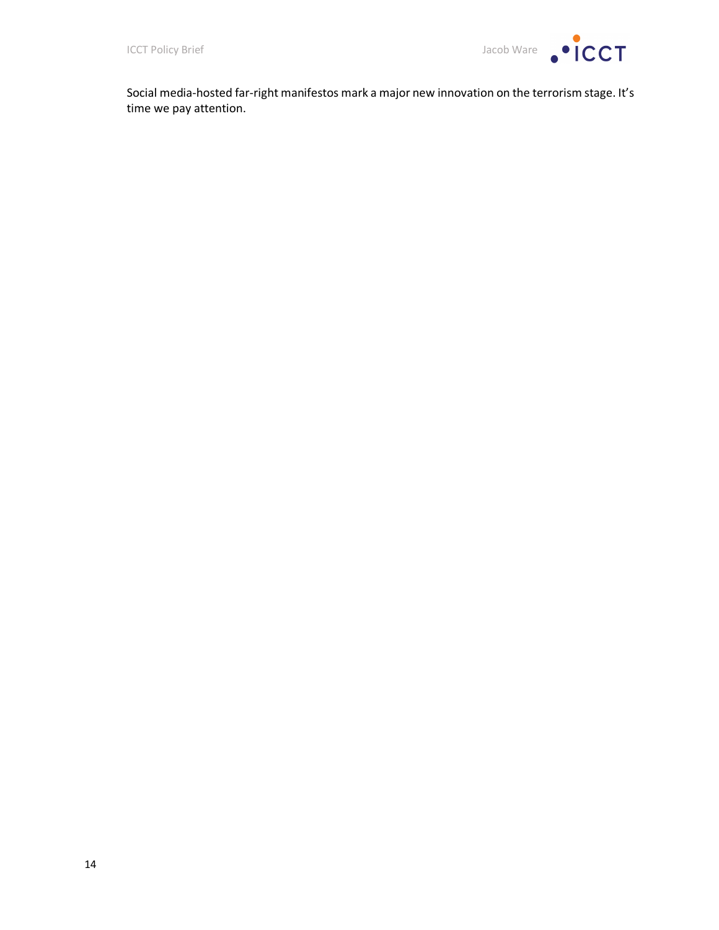

Social media-hosted far-right manifestos mark a major new innovation on the terrorism stage. It's time we pay attention.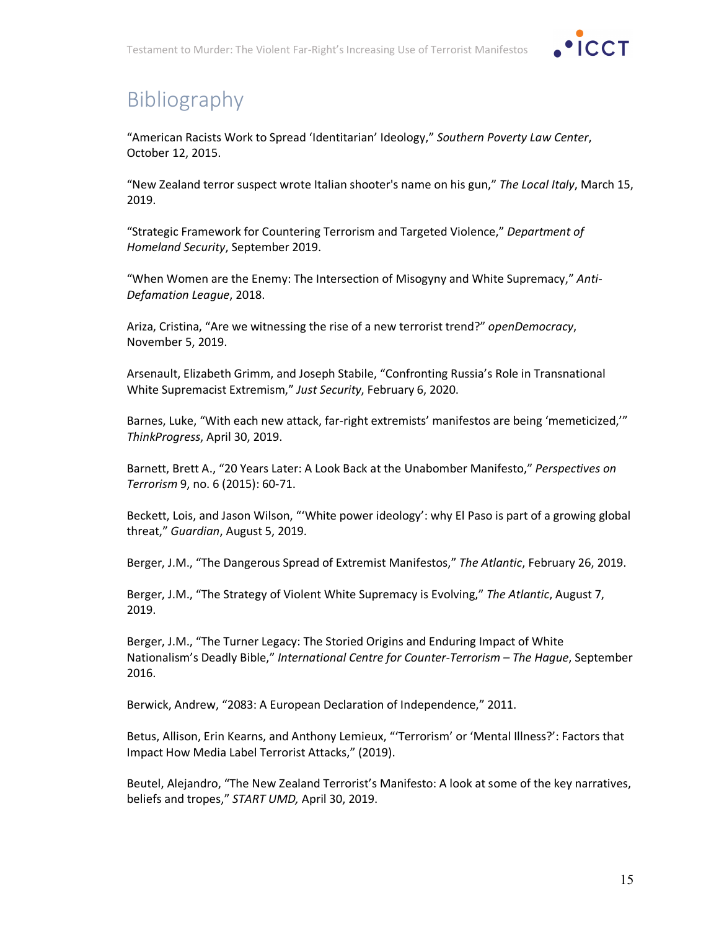

# Bibliography

"American Racists Work to Spread 'Identitarian' Ideology," *Southern Poverty Law Center*, October 12, 2015.

"New Zealand terror suspect wrote Italian shooter's name on his gun," *The Local Italy*, March 15, 2019.

"Strategic Framework for Countering Terrorism and Targeted Violence," *Department of Homeland Security*, September 2019.

"When Women are the Enemy: The Intersection of Misogyny and White Supremacy," *Anti-Defamation League*, 2018.

Ariza, Cristina, "Are we witnessing the rise of a new terrorist trend?" *openDemocracy*, November 5, 2019.

Arsenault, Elizabeth Grimm, and Joseph Stabile, "Confronting Russia's Role in Transnational White Supremacist Extremism," *Just Security*, February 6, 2020.

Barnes, Luke, "With each new attack, far-right extremists' manifestos are being 'memeticized,'" *ThinkProgress*, April 30, 2019.

Barnett, Brett A., "20 Years Later: A Look Back at the Unabomber Manifesto," *Perspectives on Terrorism* 9, no. 6 (2015): 60-71.

Beckett, Lois, and Jason Wilson, "'White power ideology': why El Paso is part of a growing global threat," *Guardian*, August 5, 2019.

Berger, J.M., "The Dangerous Spread of Extremist Manifestos," *The Atlantic*, February 26, 2019.

Berger, J.M., "The Strategy of Violent White Supremacy is Evolving," *The Atlantic*, August 7, 2019.

Berger, J.M., "The Turner Legacy: The Storied Origins and Enduring Impact of White Nationalism's Deadly Bible," *International Centre for Counter-Terrorism – The Hague*, September 2016.

Berwick, Andrew, "2083: A European Declaration of Independence," 2011.

Betus, Allison, Erin Kearns, and Anthony Lemieux, "'Terrorism' or 'Mental Illness?': Factors that Impact How Media Label Terrorist Attacks," (2019).

Beutel, Alejandro, "The New Zealand Terrorist's Manifesto: A look at some of the key narratives, beliefs and tropes," *START UMD,* April 30, 2019.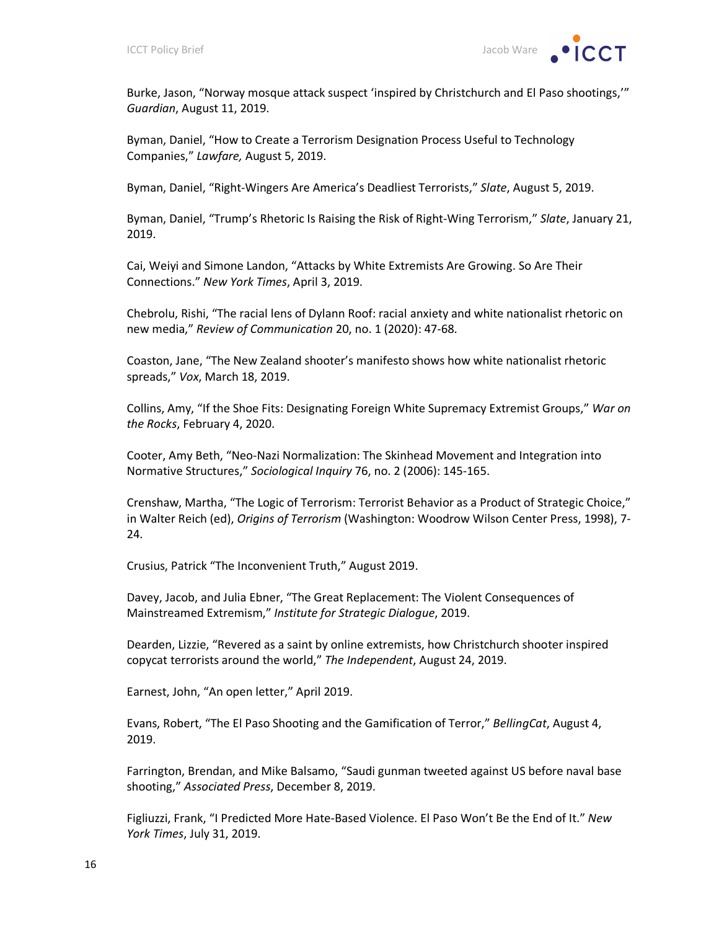

Burke, Jason, "Norway mosque attack suspect 'inspired by Christchurch and El Paso shootings,'" *Guardian*, August 11, 2019.

Byman, Daniel, "How to Create a Terrorism Designation Process Useful to Technology Companies," *Lawfare,* August 5, 2019.

Byman, Daniel, "Right-Wingers Are America's Deadliest Terrorists," *Slate*, August 5, 2019.

Byman, Daniel, "Trump's Rhetoric Is Raising the Risk of Right-Wing Terrorism," *Slate*, January 21, 2019.

Cai, Weiyi and Simone Landon, "Attacks by White Extremists Are Growing. So Are Their Connections." *New York Times*, April 3, 2019.

Chebrolu, Rishi, "The racial lens of Dylann Roof: racial anxiety and white nationalist rhetoric on new media," *Review of Communication* 20, no. 1 (2020): 47-68.

Coaston, Jane, "The New Zealand shooter's manifesto shows how white nationalist rhetoric spreads," *Vox*, March 18, 2019.

Collins, Amy, "If the Shoe Fits: Designating Foreign White Supremacy Extremist Groups," *War on the Rocks*, February 4, 2020.

Cooter, Amy Beth, "Neo-Nazi Normalization: The Skinhead Movement and Integration into Normative Structures," *Sociological Inquiry* 76, no. 2 (2006): 145-165.

Crenshaw, Martha, "The Logic of Terrorism: Terrorist Behavior as a Product of Strategic Choice," in Walter Reich (ed), *Origins of Terrorism* (Washington: Woodrow Wilson Center Press, 1998), 7- 24.

Crusius, Patrick "The Inconvenient Truth," August 2019.

Davey, Jacob, and Julia Ebner, "The Great Replacement: The Violent Consequences of Mainstreamed Extremism," *Institute for Strategic Dialogue*, 2019.

Dearden, Lizzie, "Revered as a saint by online extremists, how Christchurch shooter inspired copycat terrorists around the world," *The Independent*, August 24, 2019.

Earnest, John, "An open letter," April 2019.

Evans, Robert, "The El Paso Shooting and the Gamification of Terror," *BellingCat*, August 4, 2019.

Farrington, Brendan, and Mike Balsamo, "Saudi gunman tweeted against US before naval base shooting," *Associated Press*, December 8, 2019.

Figliuzzi, Frank, "I Predicted More Hate-Based Violence. El Paso Won't Be the End of It." *New York Times*, July 31, 2019.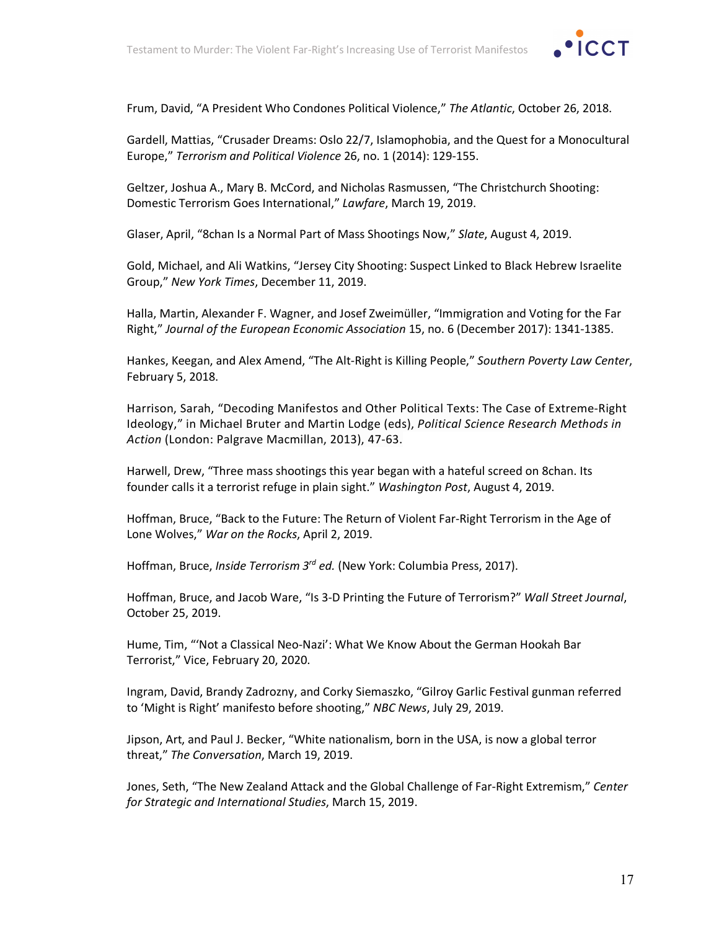

Frum, David, "A President Who Condones Political Violence," *The Atlantic*, October 26, 2018.

Gardell, Mattias, "Crusader Dreams: Oslo 22/7, Islamophobia, and the Quest for a Monocultural Europe," *Terrorism and Political Violence* 26, no. 1 (2014): 129-155.

Geltzer, Joshua A., Mary B. McCord, and Nicholas Rasmussen, "The Christchurch Shooting: Domestic Terrorism Goes International," *Lawfare*, March 19, 2019.

Glaser, April, "8chan Is a Normal Part of Mass Shootings Now," *Slate*, August 4, 2019.

Gold, Michael, and Ali Watkins, "Jersey City Shooting: Suspect Linked to Black Hebrew Israelite Group," *New York Times*, December 11, 2019.

Halla, Martin, Alexander F. Wagner, and Josef Zweimüller, "Immigration and Voting for the Far Right," *Journal of the European Economic Association* 15, no. 6 (December 2017): 1341-1385.

Hankes, Keegan, and Alex Amend, "The Alt-Right is Killing People," *Southern Poverty Law Center*, February 5, 2018.

Harrison, Sarah, "Decoding Manifestos and Other Political Texts: The Case of Extreme-Right Ideology," in Michael Bruter and Martin Lodge (eds), *Political Science Research Methods in Action* (London: Palgrave Macmillan, 2013), 47-63.

Harwell, Drew, "Three mass shootings this year began with a hateful screed on 8chan. Its founder calls it a terrorist refuge in plain sight." *Washington Post*, August 4, 2019.

Hoffman, Bruce, "Back to the Future: The Return of Violent Far-Right Terrorism in the Age of Lone Wolves," *War on the Rocks*, April 2, 2019.

Hoffman, Bruce, *Inside Terrorism 3rd ed.* (New York: Columbia Press, 2017).

Hoffman, Bruce, and Jacob Ware, "Is 3-D Printing the Future of Terrorism?" *Wall Street Journal*, October 25, 2019.

Hume, Tim, "'Not a Classical Neo-Nazi': What We Know About the German Hookah Bar Terrorist," Vice, February 20, 2020.

Ingram, David, Brandy Zadrozny, and Corky Siemaszko, "Gilroy Garlic Festival gunman referred to 'Might is Right' manifesto before shooting," *NBC News*, July 29, 2019.

Jipson, Art, and Paul J. Becker, "White nationalism, born in the USA, is now a global terror threat," *The Conversation*, March 19, 2019.

Jones, Seth, "The New Zealand Attack and the Global Challenge of Far-Right Extremism," *Center for Strategic and International Studies*, March 15, 2019.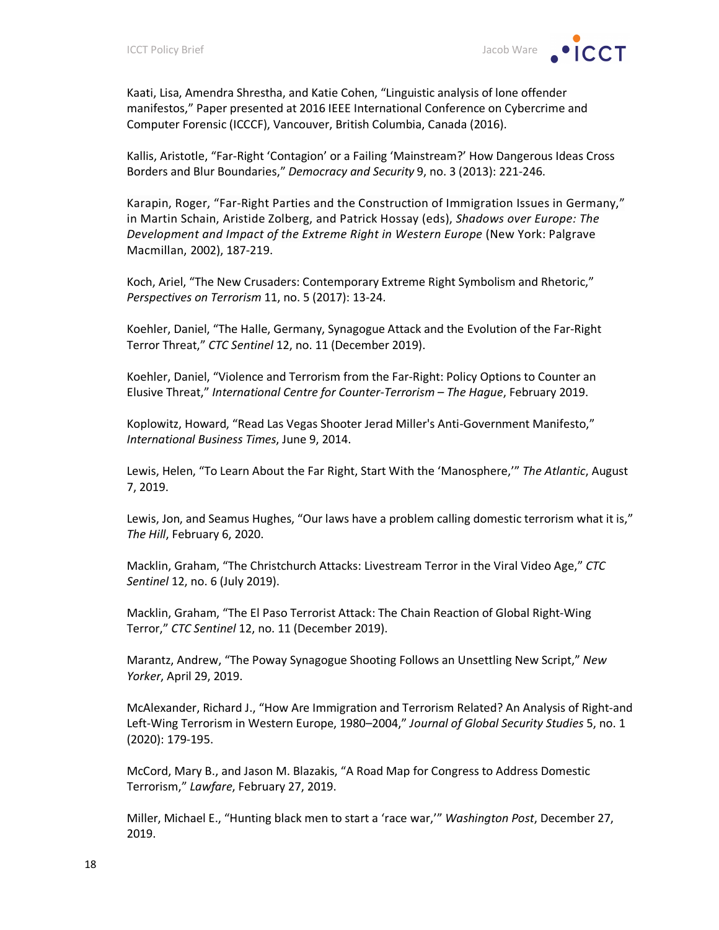Kaati, Lisa, Amendra Shrestha, and Katie Cohen, "Linguistic analysis of lone offender manifestos," Paper presented at 2016 IEEE International Conference on Cybercrime and Computer Forensic (ICCCF), Vancouver, British Columbia, Canada (2016).

Kallis, Aristotle, "Far-Right 'Contagion' or a Failing 'Mainstream?' How Dangerous Ideas Cross Borders and Blur Boundaries," *Democracy and Security* 9, no. 3 (2013): 221-246.

Karapin, Roger, "Far-Right Parties and the Construction of Immigration Issues in Germany," in Martin Schain, Aristide Zolberg, and Patrick Hossay (eds), *Shadows over Europe: The Development and Impact of the Extreme Right in Western Europe* (New York: Palgrave Macmillan, 2002), 187-219.

Koch, Ariel, "The New Crusaders: Contemporary Extreme Right Symbolism and Rhetoric," *Perspectives on Terrorism* 11, no. 5 (2017): 13-24.

Koehler, Daniel, "The Halle, Germany, Synagogue Attack and the Evolution of the Far-Right Terror Threat," *CTC Sentinel* 12, no. 11 (December 2019).

Koehler, Daniel, "Violence and Terrorism from the Far-Right: Policy Options to Counter an Elusive Threat," *International Centre for Counter-Terrorism – The Hague*, February 2019.

Koplowitz, Howard, "Read Las Vegas Shooter Jerad Miller's Anti-Government Manifesto," *International Business Times*, June 9, 2014.

Lewis, Helen, "To Learn About the Far Right, Start With the 'Manosphere,'" *The Atlantic*, August 7, 2019.

Lewis, Jon, and Seamus Hughes, "Our laws have a problem calling domestic terrorism what it is," *The Hill*, February 6, 2020.

Macklin, Graham, "The Christchurch Attacks: Livestream Terror in the Viral Video Age," *CTC Sentinel* 12, no. 6 (July 2019).

Macklin, Graham, "The El Paso Terrorist Attack: The Chain Reaction of Global Right-Wing Terror," *CTC Sentinel* 12, no. 11 (December 2019).

Marantz, Andrew, "The Poway Synagogue Shooting Follows an Unsettling New Script," *New Yorker*, April 29, 2019.

McAlexander, Richard J., "How Are Immigration and Terrorism Related? An Analysis of Right-and Left-Wing Terrorism in Western Europe, 1980–2004," *Journal of Global Security Studies* 5, no. 1 (2020): 179-195.

McCord, Mary B., and Jason M. Blazakis, "A Road Map for Congress to Address Domestic Terrorism," *Lawfare*, February 27, 2019.

Miller, Michael E., "Hunting black men to start a 'race war,'" *Washington Post*, December 27, 2019.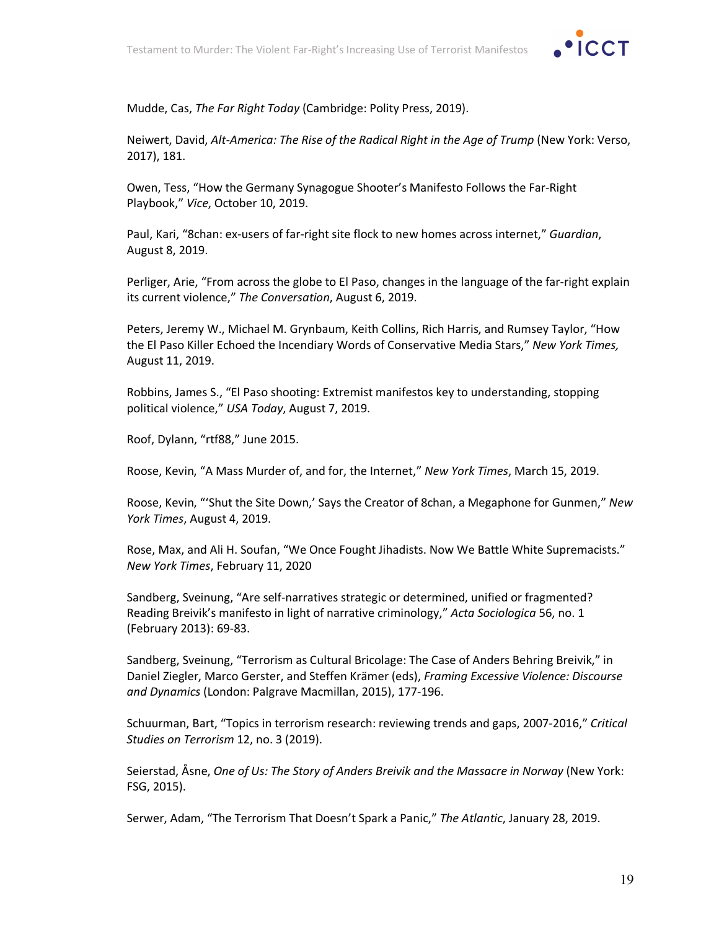

Mudde, Cas, *The Far Right Today* (Cambridge: Polity Press, 2019).

Neiwert, David, *Alt-America: The Rise of the Radical Right in the Age of Trump* (New York: Verso, 2017), 181.

Owen, Tess, "How the Germany Synagogue Shooter's Manifesto Follows the Far-Right Playbook," *Vice*, October 10, 2019.

Paul, Kari, "8chan: ex-users of far-right site flock to new homes across internet," *Guardian*, August 8, 2019.

Perliger, Arie, "From across the globe to El Paso, changes in the language of the far-right explain its current violence," *The Conversation*, August 6, 2019.

Peters, Jeremy W., Michael M. Grynbaum, Keith Collins, Rich Harris, and Rumsey Taylor, "How the El Paso Killer Echoed the Incendiary Words of Conservative Media Stars," *New York Times,* August 11, 2019.

Robbins, James S., "El Paso shooting: Extremist manifestos key to understanding, stopping political violence," *USA Today*, August 7, 2019.

Roof, Dylann, "rtf88," June 2015.

Roose, Kevin, "A Mass Murder of, and for, the Internet," *New York Times*, March 15, 2019.

Roose, Kevin, "'Shut the Site Down,' Says the Creator of 8chan, a Megaphone for Gunmen," *New York Times*, August 4, 2019.

Rose, Max, and Ali H. Soufan, "We Once Fought Jihadists. Now We Battle White Supremacists." *New York Times*, February 11, 2020

Sandberg, Sveinung, "Are self-narratives strategic or determined, unified or fragmented? Reading Breivik's manifesto in light of narrative criminology," *Acta Sociologica* 56, no. 1 (February 2013): 69-83.

Sandberg, Sveinung, "Terrorism as Cultural Bricolage: The Case of Anders Behring Breivik," in Daniel Ziegler, Marco Gerster, and Steffen Krämer (eds), *Framing Excessive Violence: Discourse and Dynamics* (London: Palgrave Macmillan, 2015), 177-196.

Schuurman, Bart, "Topics in terrorism research: reviewing trends and gaps, 2007-2016," *Critical Studies on Terrorism* 12, no. 3 (2019).

Seierstad, Åsne, *One of Us: The Story of Anders Breivik and the Massacre in Norway* (New York: FSG, 2015).

Serwer, Adam, "The Terrorism That Doesn't Spark a Panic," *The Atlantic*, January 28, 2019.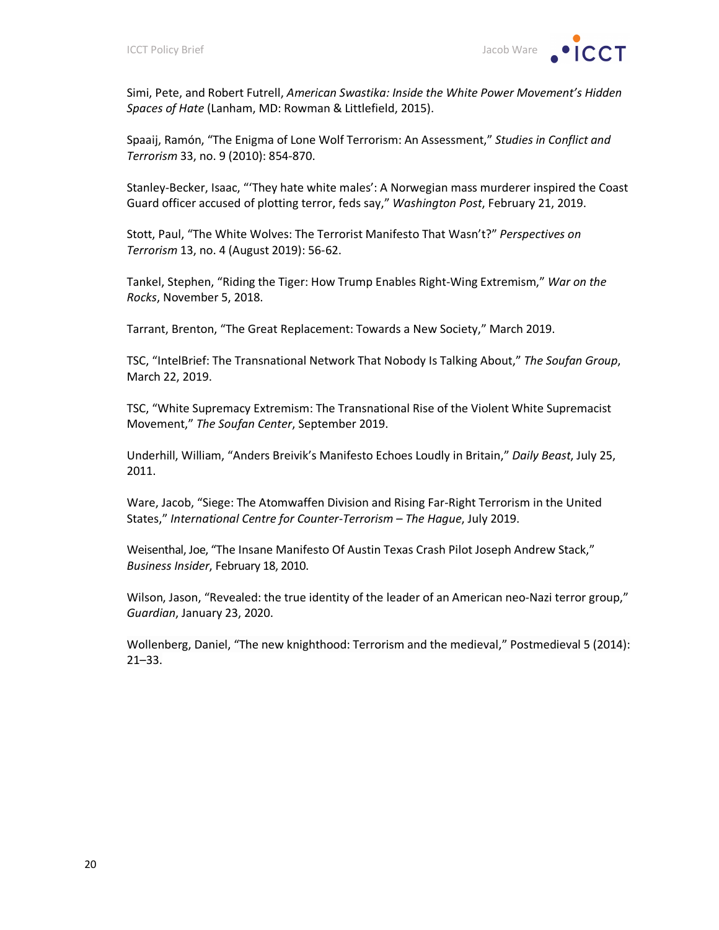

Simi, Pete, and Robert Futrell, *American Swastika: Inside the White Power Movement's Hidden Spaces of Hate* (Lanham, MD: Rowman & Littlefield, 2015).

Spaaij, Ramón, "The Enigma of Lone Wolf Terrorism: An Assessment," *Studies in Conflict and Terrorism* 33, no. 9 (2010): 854-870.

Stanley-Becker, Isaac, "'They hate white males': A Norwegian mass murderer inspired the Coast Guard officer accused of plotting terror, feds say," *Washington Post*, February 21, 2019.

Stott, Paul, "The White Wolves: The Terrorist Manifesto That Wasn't?" *Perspectives on Terrorism* 13, no. 4 (August 2019): 56-62.

Tankel, Stephen, "Riding the Tiger: How Trump Enables Right-Wing Extremism," *War on the Rocks*, November 5, 2018.

Tarrant, Brenton, "The Great Replacement: Towards a New Society," March 2019.

TSC, "IntelBrief: The Transnational Network That Nobody Is Talking About," *The Soufan Group*, March 22, 2019.

TSC, "White Supremacy Extremism: The Transnational Rise of the Violent White Supremacist Movement," *The Soufan Center*, September 2019.

Underhill, William, "Anders Breivik's Manifesto Echoes Loudly in Britain," *Daily Beast*, July 25, 2011.

Ware, Jacob, "Siege: The Atomwaffen Division and Rising Far-Right Terrorism in the United States," *International Centre for Counter-Terrorism – The Hague*, July 2019.

Weisenthal, Joe, "The Insane Manifesto Of Austin Texas Crash Pilot Joseph Andrew Stack," *Business Insider*, February 18, 2010.

Wilson, Jason, "Revealed: the true identity of the leader of an American neo-Nazi terror group," *Guardian*, January 23, 2020.

Wollenberg, Daniel, "The new knighthood: Terrorism and the medieval," Postmedieval 5 (2014): 21–33.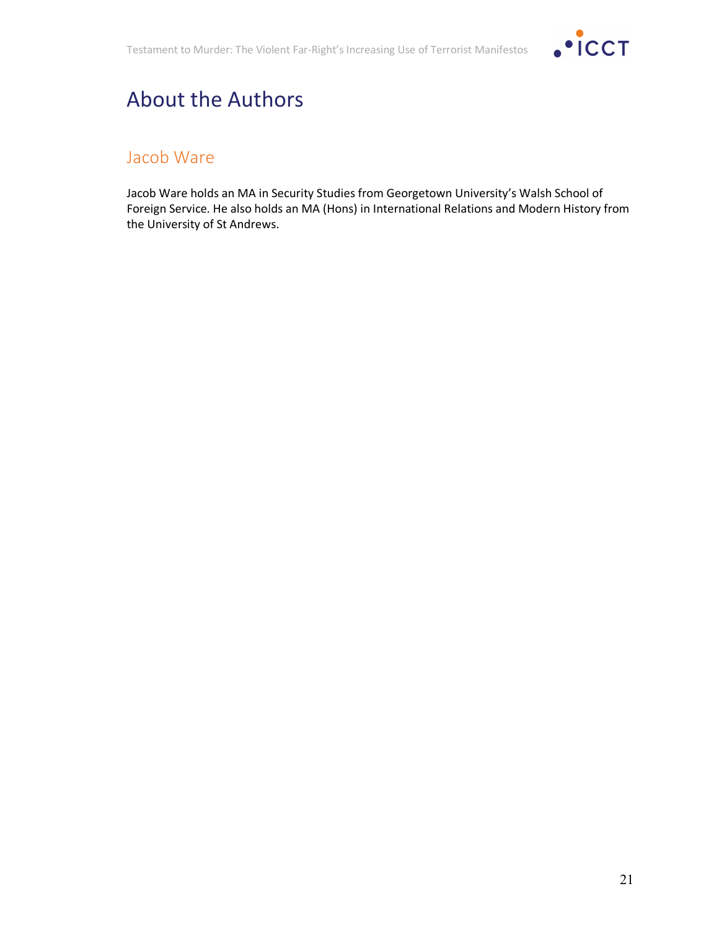

## About the Authors

#### Jacob Ware

Jacob Ware holds an MA in Security Studies from Georgetown University's Walsh School of Foreign Service. He also holds an MA (Hons) in International Relations and Modern History from the University of St Andrews.